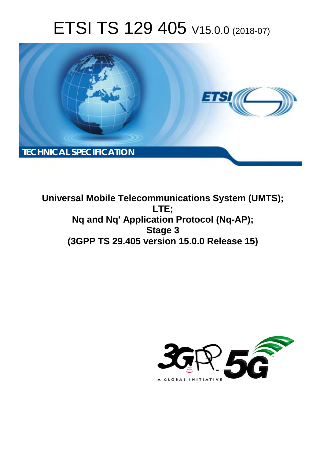# ETSI TS 129 405 V15.0.0 (2018-07)



**Universal Mobile Telecommunications System (UMTS); LTE; Nq and Nq' Application Protocol (Nq-AP); Stage 3 (3GPP TS 29.405 version 15.0.0 Release 15)** 

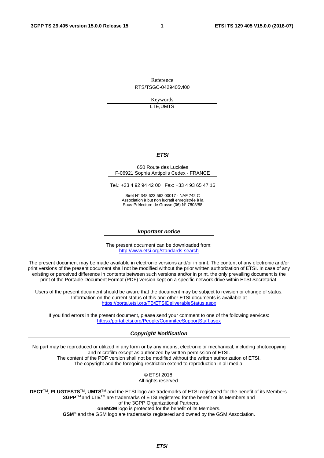Reference RTS/TSGC-0429405vf00

> Keywords LTE,UMTS

#### *ETSI*

#### 650 Route des Lucioles F-06921 Sophia Antipolis Cedex - FRANCE

Tel.: +33 4 92 94 42 00 Fax: +33 4 93 65 47 16

Siret N° 348 623 562 00017 - NAF 742 C Association à but non lucratif enregistrée à la Sous-Préfecture de Grasse (06) N° 7803/88

#### *Important notice*

The present document can be downloaded from: <http://www.etsi.org/standards-search>

The present document may be made available in electronic versions and/or in print. The content of any electronic and/or print versions of the present document shall not be modified without the prior written authorization of ETSI. In case of any existing or perceived difference in contents between such versions and/or in print, the only prevailing document is the print of the Portable Document Format (PDF) version kept on a specific network drive within ETSI Secretariat.

Users of the present document should be aware that the document may be subject to revision or change of status. Information on the current status of this and other ETSI documents is available at <https://portal.etsi.org/TB/ETSIDeliverableStatus.aspx>

If you find errors in the present document, please send your comment to one of the following services: <https://portal.etsi.org/People/CommiteeSupportStaff.aspx>

#### *Copyright Notification*

No part may be reproduced or utilized in any form or by any means, electronic or mechanical, including photocopying and microfilm except as authorized by written permission of ETSI. The content of the PDF version shall not be modified without the written authorization of ETSI. The copyright and the foregoing restriction extend to reproduction in all media.

> © ETSI 2018. All rights reserved.

**DECT**TM, **PLUGTESTS**TM, **UMTS**TM and the ETSI logo are trademarks of ETSI registered for the benefit of its Members. **3GPP**TM and **LTE**TM are trademarks of ETSI registered for the benefit of its Members and of the 3GPP Organizational Partners. **oneM2M** logo is protected for the benefit of its Members.

**GSM**® and the GSM logo are trademarks registered and owned by the GSM Association.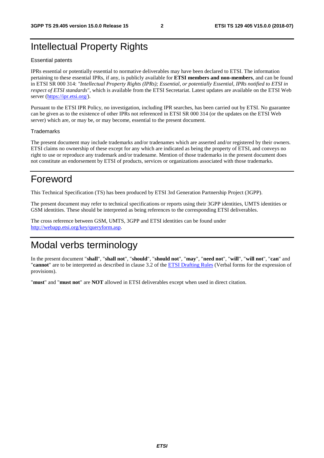### Intellectual Property Rights

#### Essential patents

IPRs essential or potentially essential to normative deliverables may have been declared to ETSI. The information pertaining to these essential IPRs, if any, is publicly available for **ETSI members and non-members**, and can be found in ETSI SR 000 314: *"Intellectual Property Rights (IPRs); Essential, or potentially Essential, IPRs notified to ETSI in respect of ETSI standards"*, which is available from the ETSI Secretariat. Latest updates are available on the ETSI Web server ([https://ipr.etsi.org/\)](https://ipr.etsi.org/).

Pursuant to the ETSI IPR Policy, no investigation, including IPR searches, has been carried out by ETSI. No guarantee can be given as to the existence of other IPRs not referenced in ETSI SR 000 314 (or the updates on the ETSI Web server) which are, or may be, or may become, essential to the present document.

#### **Trademarks**

The present document may include trademarks and/or tradenames which are asserted and/or registered by their owners. ETSI claims no ownership of these except for any which are indicated as being the property of ETSI, and conveys no right to use or reproduce any trademark and/or tradename. Mention of those trademarks in the present document does not constitute an endorsement by ETSI of products, services or organizations associated with those trademarks.

### Foreword

This Technical Specification (TS) has been produced by ETSI 3rd Generation Partnership Project (3GPP).

The present document may refer to technical specifications or reports using their 3GPP identities, UMTS identities or GSM identities. These should be interpreted as being references to the corresponding ETSI deliverables.

The cross reference between GSM, UMTS, 3GPP and ETSI identities can be found under [http://webapp.etsi.org/key/queryform.asp.](http://webapp.etsi.org/key/queryform.asp)

### Modal verbs terminology

In the present document "**shall**", "**shall not**", "**should**", "**should not**", "**may**", "**need not**", "**will**", "**will not**", "**can**" and "**cannot**" are to be interpreted as described in clause 3.2 of the [ETSI Drafting Rules](https://portal.etsi.org/Services/editHelp!/Howtostart/ETSIDraftingRules.aspx) (Verbal forms for the expression of provisions).

"**must**" and "**must not**" are **NOT** allowed in ETSI deliverables except when used in direct citation.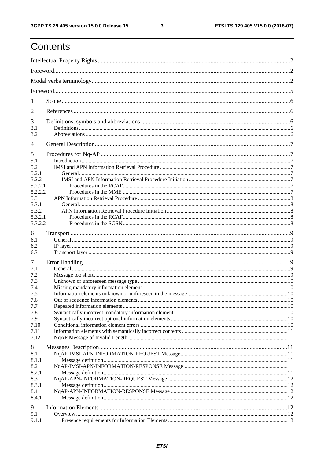# Contents

| $\perp$        |  |
|----------------|--|
| 2              |  |
| 3              |  |
| 3.1<br>3.2     |  |
| $\overline{4}$ |  |
| 5              |  |
| 5.1            |  |
| 5.2            |  |
| 5.2.1          |  |
| 5.2.2          |  |
| 5.2.2.1        |  |
| 5.2.2.2<br>5.3 |  |
| 5.3.1          |  |
| 5.3.2          |  |
| 5.3.2.1        |  |
| 5.3.2.2        |  |
|                |  |
| 6              |  |
| 6.1<br>6.2     |  |
| 6.3            |  |
|                |  |
| $\tau$         |  |
| 7.1            |  |
| 7.2            |  |
| 7.3            |  |
| 7.4<br>7.5     |  |
| 7.6            |  |
| 7.7            |  |
| 7.8            |  |
| 7.9            |  |
| 7.10           |  |
| 7.11           |  |
| 7.12           |  |
| 8              |  |
| 8.1            |  |
| 8.1.1          |  |
| 8.2            |  |
| 8.2.1          |  |
| 8.3            |  |
| 8.3.1          |  |
| 8.4            |  |
| 8.4.1          |  |
|                |  |
| 9<br>9.1       |  |
| 9.1.1          |  |
|                |  |

 $\mathbf{3}$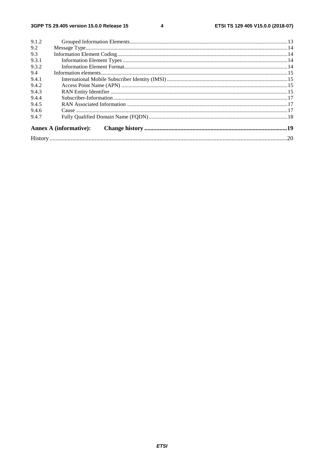$\overline{\mathbf{4}}$ 

| 9.1.2 |                               |  |
|-------|-------------------------------|--|
| 9.2   |                               |  |
| 9.3   |                               |  |
| 9.3.1 |                               |  |
| 9.3.2 |                               |  |
| 9.4   |                               |  |
| 9.4.1 |                               |  |
| 9.4.2 |                               |  |
| 9.4.3 |                               |  |
| 9.4.4 |                               |  |
| 9.4.5 |                               |  |
| 9.4.6 |                               |  |
| 9.4.7 |                               |  |
|       | <b>Annex A (informative):</b> |  |
|       |                               |  |
|       |                               |  |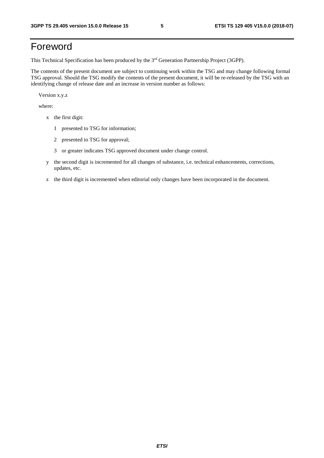# Foreword

This Technical Specification has been produced by the 3rd Generation Partnership Project (3GPP).

The contents of the present document are subject to continuing work within the TSG and may change following formal TSG approval. Should the TSG modify the contents of the present document, it will be re-released by the TSG with an identifying change of release date and an increase in version number as follows:

Version x.y.z

where:

- x the first digit:
	- 1 presented to TSG for information;
	- 2 presented to TSG for approval;
	- 3 or greater indicates TSG approved document under change control.
- y the second digit is incremented for all changes of substance, i.e. technical enhancements, corrections, updates, etc.
- z the third digit is incremented when editorial only changes have been incorporated in the document.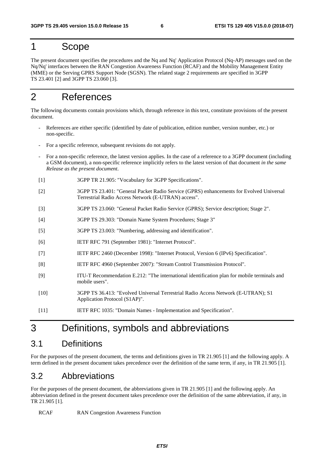### 1 Scope

The present document specifies the procedures and the Nq and Nq' Application Protocol (Nq-AP) messages used on the Nq/Nq' interfaces between the RAN Congestion Awareness Function (RCAF) and the Mobility Management Entity (MME) or the Serving GPRS Support Node (SGSN). The related stage 2 requirements are specified in 3GPP TS 23.401 [2] and 3GPP TS 23.060 [3].

### 2 References

The following documents contain provisions which, through reference in this text, constitute provisions of the present document.

- References are either specific (identified by date of publication, edition number, version number, etc.) or non-specific.
- For a specific reference, subsequent revisions do not apply.
- For a non-specific reference, the latest version applies. In the case of a reference to a 3GPP document (including a GSM document), a non-specific reference implicitly refers to the latest version of that document *in the same Release as the present document*.
- [1] 3GPP TR 21.905: "Vocabulary for 3GPP Specifications".
- [2] 3GPP TS 23.401: "General Packet Radio Service (GPRS) enhancements for Evolved Universal Terrestrial Radio Access Network (E-UTRAN) access".
- [3] 3GPP TS 23.060: "General Packet Radio Service (GPRS); Service description; Stage 2".
- [4] 3GPP TS 29.303: "Domain Name System Procedures; Stage 3"
- [5] 3GPP TS 23.003: "Numbering, addressing and identification".
- [6] IETF RFC 791 (September 1981): "Internet Protocol".
- [7] IETF RFC 2460 (December 1998): "Internet Protocol, Version 6 (IPv6) Specification".
- [8] IETF RFC 4960 (September 2007): "Stream Control Transmission Protocol".
- [9] ITU-T Recommendation E.212: "The international identification plan for mobile terminals and mobile users".
- [10] 3GPP TS 36.413: "Evolved Universal Terrestrial Radio Access Network (E-UTRAN); S1 Application Protocol (S1AP)".
- [11] IETF RFC 1035: "Domain Names Implementation and Specification".

### 3 Definitions, symbols and abbreviations

### 3.1 Definitions

For the purposes of the present document, the terms and definitions given in TR 21.905 [1] and the following apply. A term defined in the present document takes precedence over the definition of the same term, if any, in TR 21.905 [1].

#### 3.2 Abbreviations

For the purposes of the present document, the abbreviations given in TR 21.905 [1] and the following apply. An abbreviation defined in the present document takes precedence over the definition of the same abbreviation, if any, in TR 21.905 [1].

RCAF RAN Congestion Awareness Function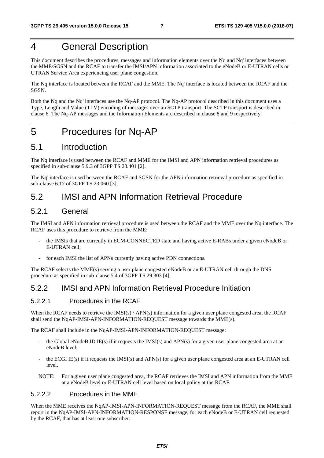# 4 General Description

This document describes the procedures, messages and information elements over the Nq and Nq' interfaces between the MME/SGSN and the RCAF to transfer the IMSI/APN information associated to the eNodeB or E-UTRAN cells or UTRAN Service Area experiencing user plane congestion.

The Nq interface is located between the RCAF and the MME. The Nq' interface is located between the RCAF and the SGSN.

Both the Nq and the Nq' interfaces use the Nq-AP protocol. The Nq-AP protocol described in this document uses a Type, Length and Value (TLV) encoding of messages over an SCTP transport. The SCTP transport is described in clause 6. The Nq-AP messages and the Information Elements are described in clause 8 and 9 respectively.

# 5 Procedures for Nq-AP

### 5.1 Introduction

The Nq interface is used between the RCAF and MME for the IMSI and APN information retrieval procedures as specified in sub-clause 5.9.3 of 3GPP TS 23.401 [2].

The Nq' interface is used between the RCAF and SGSN for the APN information retrieval procedure as specified in sub-clause 6.17 of 3GPP TS 23.060 [3].

#### 5.2 IMSI and APN Information Retrieval Procedure

#### 5.2.1 General

The IMSI and APN information retrieval procedure is used between the RCAF and the MME over the Nq interface. The RCAF uses this procedure to retrieve from the MME:

- the IMSIs that are currently in ECM-CONNECTED state and having active E-RABs under a given eNodeB or E-UTRAN cell;
- for each IMSI the list of APNs currently having active PDN connections.

The RCAF selects the MME(s) serving a user plane congested eNodeB or an E-UTRAN cell through the DNS procedure as specified in sub-clause 5.4 of 3GPP TS 29.303 [4].

#### 5.2.2 IMSI and APN Information Retrieval Procedure Initiation

#### 5.2.2.1 Procedures in the RCAF

When the RCAF needs to retrieve the  $[MSI(s) / APN(s)$  information for a given user plane congested area, the RCAF shall send the NqAP-IMSI-APN-INFORMATION-REQUEST message towards the MME(s).

The RCAF shall include in the NqAP-IMSI-APN-INFORMATION-REQUEST message:

- the Global eNodeB ID IE(s) if it requests the IMSI(s) and APN(s) for a given user plane congested area at an eNodeB level;
- the ECGI IE(s) if it requests the IMSI(s) and APN(s) for a given user plane congested area at an E-UTRAN cell level.

NOTE: For a given user plane congested area, the RCAF retrieves the IMSI and APN information from the MME at a eNodeB level or E-UTRAN cell level based on local policy at the RCAF.

#### 5.2.2.2 Procedures in the MME

When the MME receives the NqAP-IMSI-APN-INFORMATION-REQUEST message from the RCAF, the MME shall report in the NqAP-IMSI-APN-INFORMATION-RESPONSE message, for each eNodeB or E-UTRAN cell requested by the RCAF, that has at least one subscriber: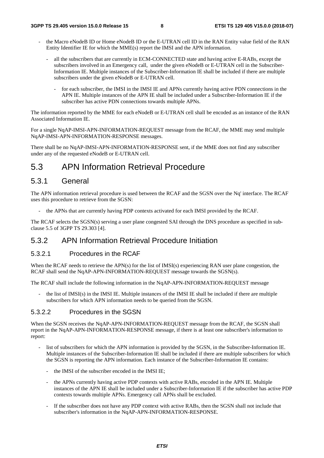- the Macro eNodeB ID or Home eNodeB ID or the E-UTRAN cell ID in the RAN Entity value field of the RAN Entity Identifier IE for which the MME(s) report the IMSI and the APN information.
	- all the subscribers that are currently in ECM-CONNECTED state and having active E-RABs, except the subscribers involved in an Emergency call, under the given eNodeB or E-UTRAN cell in the Subscriber-Information IE. Multiple instances of the Subscriber-Information IE shall be included if there are multiple subscribers under the given eNodeB or E-UTRAN cell.
		- for each subscriber, the IMSI in the IMSI IE and APNs currently having active PDN connections in the APN IE. Multiple instances of the APN IE shall be included under a Subscriber-Information IE if the subscriber has active PDN connections towards multiple APNs.

The information reported by the MME for each eNodeB or E-UTRAN cell shall be encoded as an instance of the RAN Associated Information IE.

For a single NqAP-IMSI-APN-INFORMATION-REQUEST message from the RCAF, the MME may send multiple NqAP-IMSI-APN-INFORMATION-RESPONSE messages.

There shall be no NqAP-IMSI-APN-INFORMATION-RESPONSE sent, if the MME does not find any subscriber under any of the requested eNodeB or E-UTRAN cell.

# 5.3 APN Information Retrieval Procedure

#### 5.3.1 General

The APN information retrieval procedure is used between the RCAF and the SGSN over the Nq' interface. The RCAF uses this procedure to retrieve from the SGSN:

the APNs that are currently having PDP contexts activated for each IMSI provided by the RCAF.

The RCAF selects the SGSN(s) serving a user plane congested SAI through the DNS procedure as specified in subclause 5.5 of 3GPP TS 29.303 [4].

#### 5.3.2 APN Information Retrieval Procedure Initiation

#### 5.3.2.1 Procedures in the RCAF

When the RCAF needs to retrieve the APN(s) for the list of IMSI(s) experiencing RAN user plane congestion, the RCAF shall send the NqAP-APN-INFORMATION-REQUEST message towards the SGSN(s).

The RCAF shall include the following information in the NqAP-APN-INFORMATION-REQUEST message

the list of IMSI(s) in the IMSI IE. Multiple instances of the IMSI IE shall be included if there are multiple subscribers for which APN information needs to be queried from the SGSN.

#### 5.3.2.2 Procedures in the SGSN

When the SGSN receives the NqAP-APN-INFORMATION-REQUEST message from the RCAF, the SGSN shall report in the NqAP-APN-INFORMATION-RESPONSE message, if there is at least one subscriber's information to report:

- list of subscribers for which the APN information is provided by the SGSN, in the Subscriber-Information IE. Multiple instances of the Subscriber-Information IE shall be included if there are multiple subscribers for which the SGSN is reporting the APN information. Each instance of the Subscriber-Information IE contains:
	- the IMSI of the subscriber encoded in the IMSI IE:
	- the APNs currently having active PDP contexts with active RABs, encoded in the APN IE. Multiple instances of the APN IE shall be included under a Subscriber-Information IE if the subscriber has active PDP contexts towards multiple APNs. Emergency call APNs shall be excluded.
	- If the subscriber does not have any PDP context with active RABs, then the SGSN shall not include that subscriber's information in the NqAP-APN-INFORMATION-RESPONSE.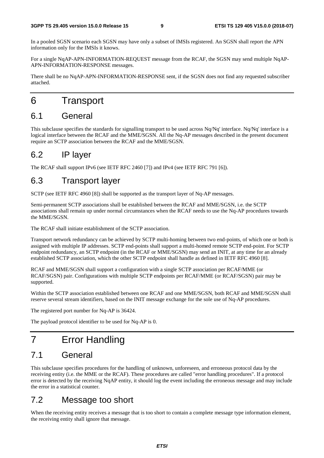In a pooled SGSN scenario each SGSN may have only a subset of IMSIs registered. An SGSN shall report the APN information only for the IMSIs it knows.

For a single NqAP-APN-INFORMATION-REQUEST message from the RCAF, the SGSN may send multiple NqAP-APN-INFORMATION-RESPONSE messages.

There shall be no NqAP-APN-INFORMATION-RESPONSE sent, if the SGSN does not find any requested subscriber attached.

# 6 Transport

### 6.1 General

This subclause specifies the standards for signalling transport to be used across Nq/Nq' interface. Nq/Nq' interface is a logical interface between the RCAF and the MME/SGSN. All the Nq-AP messages described in the present document require an SCTP association between the RCAF and the MME/SGSN.

### 6.2 IP layer

The RCAF shall support IPv6 (see IETF RFC 2460 [7]) and IPv4 (see IETF RFC 791 [6]).

### 6.3 Transport layer

SCTP (see IETF RFC 4960 [8]) shall be supported as the transport layer of Nq-AP messages.

Semi-permanent SCTP associations shall be established between the RCAF and MME/SGSN, i.e. the SCTP associations shall remain up under normal circumstances when the RCAF needs to use the Nq-AP procedures towards the MME/SGSN.

The RCAF shall initiate establishment of the SCTP association.

Transport network redundancy can be achieved by SCTP multi-homing between two end-points, of which one or both is assigned with multiple IP addresses. SCTP end-points shall support a multi-homed remote SCTP end-point. For SCTP endpoint redundancy, an SCTP endpoint (in the RCAF or MME/SGSN) may send an INIT, at any time for an already established SCTP association, which the other SCTP endpoint shall handle as defined in IETF RFC 4960 [8].

RCAF and MME/SGSN shall support a configuration with a single SCTP association per RCAF/MME (or RCAF/SGSN) pair. Configurations with multiple SCTP endpoints per RCAF/MME (or RCAF/SGSN) pair may be supported.

Within the SCTP association established between one RCAF and one MME/SGSN, both RCAF and MME/SGSN shall reserve several stream identifiers, based on the INIT message exchange for the sole use of Nq-AP procedures.

The registered port number for Nq-AP is 36424.

The payload protocol identifier to be used for Nq-AP is 0.

# 7 Error Handling

### 7.1 General

This subclause specifies procedures for the handling of unknown, unforeseen, and erroneous protocol data by the receiving entity (i.e. the MME or the RCAF). These procedures are called "error handling procedures". If a protocol error is detected by the receiving NqAP entity, it should log the event including the erroneous message and may include the error in a statistical counter.

### 7.2 Message too short

When the receiving entity receives a message that is too short to contain a complete message type information element, the receiving entity shall ignore that message.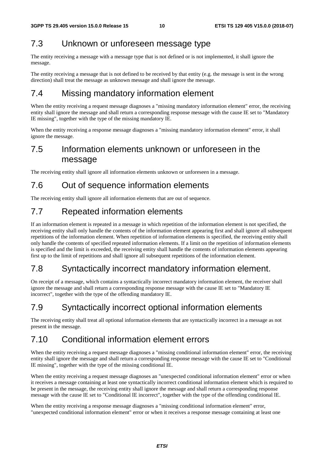### 7.3 Unknown or unforeseen message type

The entity receiving a message with a message type that is not defined or is not implemented, it shall ignore the message.

The entity receiving a message that is not defined to be received by that entity (e.g. the message is sent in the wrong direction) shall treat the message as unknown message and shall ignore the message.

### 7.4 Missing mandatory information element

When the entity receiving a request message diagnoses a "missing mandatory information element" error, the receiving entity shall ignore the message and shall return a corresponding response message with the cause IE set to "Mandatory IE missing", together with the type of the missing mandatory IE.

When the entity receiving a response message diagnoses a "missing mandatory information element" error, it shall ignore the message.

### 7.5 Information elements unknown or unforeseen in the message

The receiving entity shall ignore all information elements unknown or unforeseen in a message.

### 7.6 Out of sequence information elements

The receiving entity shall ignore all information elements that are out of sequence.

### 7.7 Repeated information elements

If an information element is repeated in a message in which repetition of the information element is not specified, the receiving entity shall only handle the contents of the information element appearing first and shall ignore all subsequent repetitions of the information element. When repetition of information elements is specified, the receiving entity shall only handle the contents of specified repeated information elements. If a limit on the repetition of information elements is specified and the limit is exceeded, the receiving entity shall handle the contents of information elements appearing first up to the limit of repetitions and shall ignore all subsequent repetitions of the information element.

### 7.8 Syntactically incorrect mandatory information element.

On receipt of a message, which contains a syntactically incorrect mandatory information element, the receiver shall ignore the message and shall return a corresponding response message with the cause IE set to "Mandatory IE incorrect", together with the type of the offending mandatory IE.

# 7.9 Syntactically incorrect optional information elements

The receiving entity shall treat all optional information elements that are syntactically incorrect in a message as not present in the message.

### 7.10 Conditional information element errors

When the entity receiving a request message diagnoses a "missing conditional information element" error, the receiving entity shall ignore the message and shall return a corresponding response message with the cause IE set to "Conditional IE missing", together with the type of the missing conditional IE.

When the entity receiving a request message diagnoses an "unexpected conditional information element" error or when it receives a message containing at least one syntactically incorrect conditional information element which is required to be present in the message, the receiving entity shall ignore the message and shall return a corresponding response message with the cause IE set to "Conditional IE incorrect", together with the type of the offending conditional IE.

When the entity receiving a response message diagnoses a "missing conditional information element" error, "unexpected conditional information element" error or when it receives a response message containing at least one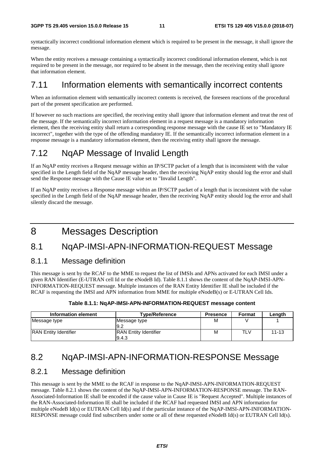syntactically incorrect conditional information element which is required to be present in the message, it shall ignore the message.

When the entity receives a message containing a syntactically incorrect conditional information element, which is not required to be present in the message, nor required to be absent in the message, then the receiving entity shall ignore that information element.

#### 7.11 Information elements with semantically incorrect contents

When an information element with semantically incorrect contents is received, the foreseen reactions of the procedural part of the present specification are performed.

If however no such reactions are specified, the receiving entity shall ignore that information element and treat the rest of the message. If the semantically incorrect information element in a request message is a mandatory information element, then the receiving entity shall return a corresponding response message with the cause IE set to "Mandatory IE incorrect", together with the type of the offending mandatory IE. If the semantically incorrect information element in a response message is a mandatory information element, then the receiving entity shall ignore the message.

## 7.12 NqAP Message of Invalid Length

If an NqAP entity receives a Request message within an IP/SCTP packet of a length that is inconsistent with the value specified in the Length field of the NqAP message header, then the receiving NqAP entity should log the error and shall send the Response message with the Cause IE value set to "Invalid Length".

If an NqAP entity receives a Response message within an IP/SCTP packet of a length that is inconsistent with the value specified in the Length field of the NqAP message header, then the receiving NqAP entity should log the error and shall silently discard the message.

# 8 Messages Description

#### 8.1 NqAP-IMSI-APN-INFORMATION-REQUEST Message

#### 8.1.1 Message definition

This message is sent by the RCAF to the MME to request the list of IMSIs and APNs activated for each IMSI under a given RAN Identifier (E-UTRAN cell Id or the eNodeB Id). Table 8.1.1 shows the content of the NqAP-IMSI-APN-INFORMATION-REQUEST message. Multiple instances of the RAN Entity Identifier IE shall be included if the RCAF is requesting the IMSI and APN information from MME for multiple eNodeB(s) or E-UTRAN Cell Ids.

| Table 8.1.1: NqAP-IMSI-APN-INFORMATION-REQUEST message content |  |
|----------------------------------------------------------------|--|
|----------------------------------------------------------------|--|

| Information element          | <b>Type/Reference</b>                 | <b>Presence</b> | Format | Length    |
|------------------------------|---------------------------------------|-----------------|--------|-----------|
| Message type                 | Message type<br>9.2                   | M               |        |           |
| <b>RAN Entity Identifier</b> | <b>RAN Entity Identifier</b><br>9.4.3 | M               | TLV    | $11 - 13$ |

### 8.2 NqAP-IMSI-APN-INFORMATION-RESPONSE Message

#### 8.2.1 Message definition

This message is sent by the MME to the RCAF in response to the NqAP-IMSI-APN-INFORMATION-REQUEST message. Table 8.2.1 shows the content of the NqAP-IMSI-APN-INFORMATION-RESPONSE message. The RAN-Associated-Information IE shall be encoded if the cause value in Cause IE is "Request Accepted". Multiple instances of the RAN-Associated-Information IE shall be included if the RCAF had requested IMSI and APN information for multiple eNodeB Id(s) or EUTRAN Cell Id(s) and if the particular instance of the NqAP-IMSI-APN-INFORMATION-RESPONSE message could find subscribers under some or all of these requested eNodeB Id(s) or EUTRAN Cell Id(s).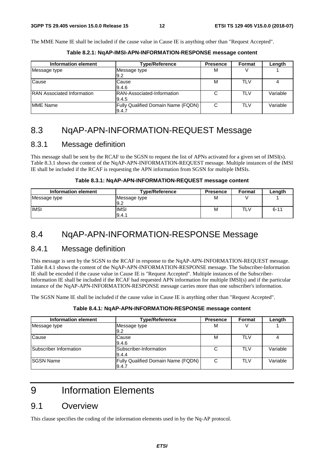The MME Name IE shall be included if the cause value in Cause IE is anything other than "Request Accepted".

| Information element                | <b>Type/Reference</b>                              | <b>Presence</b> | Format     | Length   |
|------------------------------------|----------------------------------------------------|-----------------|------------|----------|
| Message type                       | Message type<br>9.2                                | М               |            |          |
| Cause                              | Cause<br>9.4.6                                     | М               | <b>TLV</b> |          |
| <b>IRAN Associated Information</b> | IRAN-Associated-Information<br>9.4.5               | $\sim$          | <b>TLV</b> | Variable |
| <b>MME Name</b>                    | <b>Fully Qualified Domain Name (FQDN)</b><br>9.4.7 | <sub>C</sub>    | <b>TLV</b> | Variable |

**Table 8.2.1: NqAP-IMSI-APN-INFORMATION-RESPONSE message content** 

### 8.3 NqAP-APN-INFORMATION-REQUEST Message

#### 8.3.1 Message definition

This message shall be sent by the RCAF to the SGSN to request the list of APNs activated for a given set of IMSI(s). Table 8.3.1 shows the content of the NqAP-APN-INFORMATION-REQUEST message. Multiple instances of the IMSI IE shall be included if the RCAF is requesting the APN information from SGSN for multiple IMSIs.

#### **Table 8.3.1: NqAP-APN-INFORMATION-REQUEST message content**

| Information element | <b>Type/Reference</b> | <b>Presence</b> | <b>Format</b> | Length   |
|---------------------|-----------------------|-----------------|---------------|----------|
| Message type        | Message type          | М               |               |          |
|                     | 19.2                  |                 |               |          |
| <b>IMSI</b>         | <b>IMSI</b>           | M               | TLV           | $6 - 11$ |
|                     | 9.4.1                 |                 |               |          |

#### 8.4 NqAP-APN-INFORMATION-RESPONSE Message

#### 8.4.1 Message definition

This message is sent by the SGSN to the RCAF in response to the NqAP-APN-INFORMATION-REQUEST message. Table 8.4.1 shows the content of the NqAP-APN-INFORMATION-RESPONSE message. The Subscriber-Information IE shall be encoded if the cause value in Cause IE is "Request Accepted". Multiple instances of the Subscriber-Information IE shall be included if the RCAF had requested APN information for multiple IMSI(s) and if the particular instance of the NqAP-APN-INFORMATION-RESPONSE message carries more than one subscriber's information.

The SGSN Name IE shall be included if the cause value in Cause IE is anything other than "Request Accepted".

| Information element    | <b>Type/Reference</b>                       | <b>Presence</b> | Format     | Length   |
|------------------------|---------------------------------------------|-----------------|------------|----------|
| Message type           | Message type<br>9.2                         | м               |            |          |
| Cause                  | Cause<br>9.4.6                              | M               | TLV        |          |
| Subscriber Information | Subscriber-Information<br>9.4.4             | C               | TLV        | Variable |
| <b>SGSN Name</b>       | Fully Qualified Domain Name (FQDN)<br>9.4.7 | C               | <b>TLV</b> | Variable |

# 9 Information Elements

#### 9.1 Overview

This clause specifies the coding of the information elements used in by the Nq-AP protocol.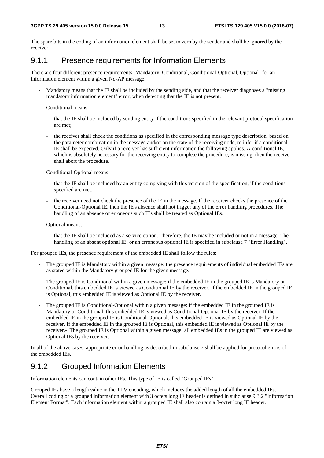The spare bits in the coding of an information element shall be set to zero by the sender and shall be ignored by the receiver.

#### 9.1.1 Presence requirements for Information Elements

There are four different presence requirements (Mandatory, Conditional, Conditional-Optional, Optional) for an information element within a given Nq-AP message:

- Mandatory means that the IE shall be included by the sending side, and that the receiver diagnoses a "missing mandatory information element" error, when detecting that the IE is not present.
- Conditional means:
	- that the IE shall be included by sending entity if the conditions specified in the relevant protocol specification are met;
	- the receiver shall check the conditions as specified in the corresponding message type description, based on the parameter combination in the message and/or on the state of the receiving node, to infer if a conditional IE shall be expected. Only if a receiver has sufficient information the following applies. A conditional IE, which is absolutely necessary for the receiving entity to complete the procedure, is missing, then the receiver shall abort the procedure.
- Conditional-Optional means:
	- that the IE shall be included by an entity complying with this version of the specification, if the conditions specified are met.
	- the receiver need not check the presence of the IE in the message. If the receiver checks the presence of the Conditional-Optional IE, then the IE's absence shall not trigger any of the error handling procedures. The handling of an absence or erroneous such IEs shall be treated as Optional IEs.
- Optional means:
	- that the IE shall be included as a service option. Therefore, the IE may be included or not in a message. The handling of an absent optional IE, or an erroneous optional IE is specified in subclause 7 "Error Handling".

For grouped IEs, the presence requirement of the embedded IE shall follow the rules:

- The grouped IE is Mandatory within a given message: the presence requirements of individual embedded IEs are as stated within the Mandatory grouped IE for the given message.
- The grouped IE is Conditional within a given message: if the embedded IE in the grouped IE is Mandatory or Conditional, this embedded IE is viewed as Conditional IE by the receiver. If the embedded IE in the grouped IE is Optional, this embedded IE is viewed as Optional IE by the receiver.
- The grouped IE is Conditional-Optional within a given message: if the embedded IE in the grouped IE is Mandatory or Conditional, this embedded IE is viewed as Conditional-Optional IE by the receiver. If the embedded IE in the grouped IE is Conditional-Optional, this embedded IE is viewed as Optional IE by the receiver. If the embedded IE in the grouped IE is Optional, this embedded IE is viewed as Optional IE by the receiver.- The grouped IE is Optional within a given message: all embedded IEs in the grouped IE are viewed as Optional IEs by the receiver.

In all of the above cases, appropriate error handling as described in subclause 7 shall be applied for protocol errors of the embedded IEs.

#### 9.1.2 Grouped Information Elements

Information elements can contain other IEs. This type of IE is called "Grouped IEs".

Grouped IEs have a length value in the TLV encoding, which includes the added length of all the embedded IEs. Overall coding of a grouped information element with 3 octets long IE header is defined in subclause 9.3.2 "Information Element Format". Each information element within a grouped IE shall also contain a 3-octet long IE header.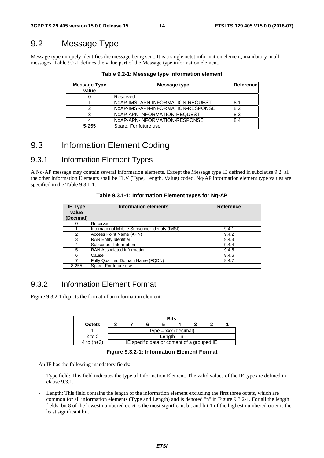### 9.2 Message Type

Message type uniquely identifies the message being sent. It is a single octet information element, mandatory in all messages. Table 9.2-1 defines the value part of the Message type information element.

| Message Type | Message type                       | Reference |
|--------------|------------------------------------|-----------|
| value        |                                    |           |
|              | Reserved                           |           |
|              | NgAP-IMSI-APN-INFORMATION-REQUEST  | l8.1      |
|              | NgAP-IMSI-APN-INFORMATION-RESPONSE | 8.2       |
|              | NgAP-APN-INFORMATION-REQUEST       | 8.3       |
|              | NgAP-APN-INFORMATION-RESPONSE      | 8.4       |
| $5 - 255$    | Spare. For future use.             |           |

**Table 9.2-1: Message type information element** 

### 9.3 Information Element Coding

#### 9.3.1 Information Element Types

A Nq-AP message may contain several information elements. Except the Message type IE defined in subclause 9.2, all the other Information Elements shall be TLV (Type, Length, Value) coded. Nq-AP information element type values are specified in the Table 9.3.1-1.

| <b>IE Type</b><br>value<br>(Decimal) | Information elements                            | <b>Reference</b> |
|--------------------------------------|-------------------------------------------------|------------------|
|                                      | Reserved                                        |                  |
|                                      | International Mobile Subscriber Identity (IMSI) | 9.4.1            |
| $\mathcal{P}$                        | Access Point Name (APN)                         | 9.4.2            |
| 3                                    | <b>RAN Entity Identifier</b>                    | 9.4.3            |
|                                      | Subscriber-Information                          | 9.4.4            |
| 5                                    | <b>RAN Associated Information</b>               | 9.4.5            |
| 6                                    | Cause                                           | 9.4.6            |
|                                      | Fully Qualified Domain Name (FQDN)              | 9.4.7            |
| $8 - 255$                            | Spare. For future use.                          |                  |

**Table 9.3.1-1: Information Element types for Nq-AP** 

#### 9.3.2 Information Element Format

Figure 9.3.2-1 depicts the format of an information element.



**Figure 9.3.2-1: Information Element Format** 

An IE has the following mandatory fields:

- Type field: This field indicates the type of Information Element. The valid values of the IE type are defined in clause 9.3.1.
- Length: This field contains the length of the information element excluding the first three octets, which are common for all information elements (Type and Length) and is denoted "n" in Figure 9.3.2-1. For all the length fields, bit 8 of the lowest numbered octet is the most significant bit and bit 1 of the highest numbered octet is the least significant bit.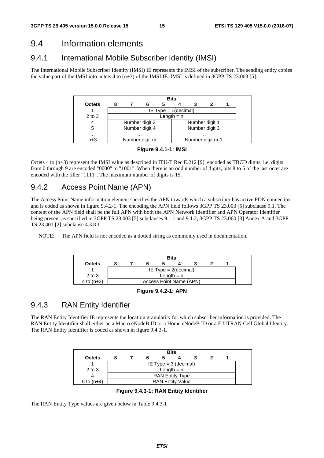#### 9.4 Information elements

#### 9.4.1 International Mobile Subscriber Identity (IMSI)

The International Mobile Subscriber Identity (IMSI) IE represents the IMSI of the subscriber. The sending entity copies the value part of the IMSI into octets 4 to (n+3) of the IMSI IE. IMSI is defined in 3GPP TS 23.003 [5].

|               |              | <b>Bits</b> |                |                         |  |  |                  |  |  |
|---------------|--------------|-------------|----------------|-------------------------|--|--|------------------|--|--|
| <b>Octets</b> |              |             |                |                         |  |  |                  |  |  |
|               |              |             |                | IE Type = $1$ (decimal) |  |  |                  |  |  |
| $2$ to $3$    | Length $= n$ |             |                |                         |  |  |                  |  |  |
| 4             |              |             | Number digit 2 |                         |  |  | Number digit 1   |  |  |
| 5             |              |             | Number digit 4 |                         |  |  | Number digit 3   |  |  |
| $\cdots$      |              |             | $\cdots$       |                         |  |  | $\cdots$         |  |  |
| $n+3$         |              |             | Number digit m |                         |  |  | Number digit m-1 |  |  |



Octets 4 to (n+3) represent the IMSI value as described in ITU-T Rec E.212 [9], encoded as TBCD digits, i.e. digits from 0 through 9 are encoded "0000" to "1001". When there is an odd number of digits, bits 8 to 5 of the last octet are encoded with the filler "1111". The maximum number of digits is 15.

### 9.4.2 Access Point Name (APN)

The Access Point Name information element specifies the APN towards which a subscriber has active PDN connection and is coded as shown in figure 9.4.2-1. The encoding the APN field follows 3GPP TS 23.003 [5] subclause 9.1. The content of the APN field shall be the full APN with both the APN Network Identifier and APN Operator Identifier being present as specified in 3GPP TS 23.003 [5] subclauses 9.1.1 and 9.1.2, 3GPP TS 23.060 [3] Annex A and 3GPP TS 23.401 [2] subclause 4.3.8.1.

NOTE: The APN field is not encoded as a dotted string as commonly used in documentation.



**Figure 9.4.2-1: APN** 

### 9.4.3 RAN Entity Identifier

The RAN Entity Identifier IE represents the location granularity for which subscriber information is provided. The RAN Entity Identifier shall either be a Macro eNodeB ID or a Home eNodeB ID or a E-UTRAN Cell Global Identity. The RAN Entity Identifier is coded as shown in figure 9.4.3-1.

| <b>Bits</b>   |              |                         |  |  |                         |  |  |  |  |
|---------------|--------------|-------------------------|--|--|-------------------------|--|--|--|--|
| <b>Octets</b> |              |                         |  |  |                         |  |  |  |  |
|               |              | IE Type = $3$ (decimal) |  |  |                         |  |  |  |  |
| $2$ to $3$    | Length $= n$ |                         |  |  |                         |  |  |  |  |
|               |              | <b>RAN Entity Type</b>  |  |  |                         |  |  |  |  |
| 5 to $(n+4)$  |              |                         |  |  | <b>RAN Entity Value</b> |  |  |  |  |

**Figure 9.4.3-1: RAN Entity Identifier** 

The RAN Entity Type values are given below in Table 9.4.3-1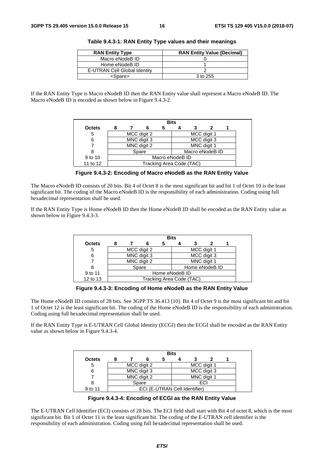| <b>RAN Entity Type</b>       | <b>RAN Entity Value (Decimal)</b> |
|------------------------------|-----------------------------------|
| Macro eNodeB ID              |                                   |
| Home eNodeB ID               |                                   |
| E-UTRAN Cell Global Identity |                                   |
| <spare></spare>              | 3 to 255                          |

**Table 9.4.3-1: RAN Entity Type values and their meanings** 

If the RAN Entity Type is Macro eNodeB ID then the RAN Entity value shall represent a Macro eNodeB ID. The Macro eNodeB ID is encoded as shown below in Figure 9.4.3-2.

|               | <b>Bits</b>     |             |             |                          |  |  |                 |  |
|---------------|-----------------|-------------|-------------|--------------------------|--|--|-----------------|--|
| <b>Octets</b> |                 |             |             | C                        |  |  |                 |  |
| 5             |                 |             | MCC digit 2 |                          |  |  | MCC digit 1     |  |
| 6             |                 | MNC digit 3 |             |                          |  |  | MCC digit 3     |  |
|               |                 |             | MNC digit 2 |                          |  |  | MNC digit 1     |  |
|               |                 |             | Spare       |                          |  |  | Macro eNodeB ID |  |
| 9 to 10       | Macro eNodeB ID |             |             |                          |  |  |                 |  |
| 11 to 12      |                 |             |             | Tracking Area Code (TAC) |  |  |                 |  |

**Figure 9.4.3-2: Encoding of Macro eNodeB as the RAN Entity Value** 

The Macro eNodeB ID consists of 20 bits. Bit 4 of Octet 8 is the most significant bit and bit 1 of Octet 10 is the least significant bit. The coding of the Macro eNodeB ID is the responsibility of each administration. Coding using full hexadecimal representation shall be used.

If the RAN Entity Type is Home eNodeB ID then the Home eNodeB ID shall be encoded as the RAN Entity value as shown below in Figure 9.4.3-3.

|               |                |  |             |                          | <b>Bits</b> |  |                |  |
|---------------|----------------|--|-------------|--------------------------|-------------|--|----------------|--|
| <b>Octets</b> |                |  |             | b                        |             |  |                |  |
| 5             |                |  | MCC digit 2 |                          |             |  | MCC digit 1    |  |
| 6             |                |  | MNC digit 3 |                          |             |  | MCC digit 3    |  |
|               |                |  | MNC digit 2 |                          |             |  | MNC digit 1    |  |
| 8             |                |  | Spare       |                          |             |  | Home eNodeB ID |  |
| 9 to 11       | Home eNodeB ID |  |             |                          |             |  |                |  |
| 12 to 13      |                |  |             | Tracking Area Code (TAC) |             |  |                |  |

**Figure 9.4.3-3: Encoding of Home eNodeB as the RAN Entity Value** 

The Home eNodeB ID consists of 28 bits. See 3GPP TS 36.413 [10]. Bit 4 of Octet 9 is the most significant bit and bit 1 of Octet 12 is the least significant bit. The coding of the Home eNodeB ID is the responsibility of each administration. Coding using full hexadecimal representation shall be used.

If the RAN Entity Type is E-UTRAN Cell Global Identity (ECGI) then the ECGI shall be encoded as the RAN Entity value as shown below in Figure 9.4.3-4.

|               |  |             | <b>Bits</b> |                               |  |
|---------------|--|-------------|-------------|-------------------------------|--|
| <b>Octets</b> |  |             |             |                               |  |
| 5             |  | MCC digit 2 |             | MCC digit 1                   |  |
|               |  | MNC digit 3 |             | MCC digit 3                   |  |
|               |  | MNC digit 2 |             | MNC digit 1                   |  |
|               |  | Spare       |             | ECI                           |  |
| 9 to 11       |  |             |             | ECI (E-UTRAN Cell Identifier) |  |

**Figure 9.4.3-4: Encoding of ECGI as the RAN Entity Value** 

The E-UTRAN Cell Identifier (ECI) consists of 28 bits. The ECI field shall start with Bit 4 of octet 8, which is the most significant bit. Bit 1 of Octet 11 is the least significant bit. The coding of the E-UTRAN cell identifier is the responsibility of each administration. Coding using full hexadecimal representation shall be used.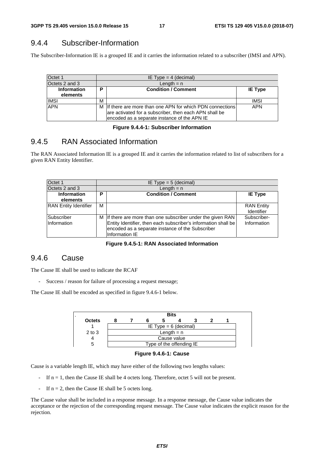### 9.4.4 Subscriber-Information

The Subscriber-Information IE is a grouped IE and it carries the information related to a subscriber (IMSI and APN).

| Octet 1            |   | IE Type = $4$ (decimal)                                                                                                                                              |                |  |  |  |  |  |
|--------------------|---|----------------------------------------------------------------------------------------------------------------------------------------------------------------------|----------------|--|--|--|--|--|
| Octets 2 and 3     |   | Length $= n$                                                                                                                                                         |                |  |  |  |  |  |
| <b>Information</b> | P | <b>Condition / Comment</b>                                                                                                                                           | <b>IE Type</b> |  |  |  |  |  |
| elements           |   |                                                                                                                                                                      |                |  |  |  |  |  |
| <b>IMSI</b>        | м |                                                                                                                                                                      | <b>IMSI</b>    |  |  |  |  |  |
| <b>APN</b>         |   | M If there are more than one APN for which PDN connections<br>are activated for a subscriber, then each APN shall be<br>encoded as a separate instance of the APN IE | <b>APN</b>     |  |  |  |  |  |

#### **Figure 9.4.4-1: Subscriber Information**

#### 9.4.5 RAN Associated Information

The RAN Associated Information IE is a grouped IE and it carries the information related to list of subscribers for a given RAN Entity Identifier.

| Octet 1                        |   | IE Type = $5$ (decimal)                                                                                                                                                                             |                                 |  |  |  |  |  |
|--------------------------------|---|-----------------------------------------------------------------------------------------------------------------------------------------------------------------------------------------------------|---------------------------------|--|--|--|--|--|
| Octets 2 and 3                 |   | Length $= n$                                                                                                                                                                                        |                                 |  |  |  |  |  |
| <b>Information</b><br>elements | P | <b>Condition / Comment</b>                                                                                                                                                                          | <b>IE Type</b>                  |  |  |  |  |  |
| <b>RAN</b> Entity Identifier   | м |                                                                                                                                                                                                     | <b>RAN Entity</b><br>Identifier |  |  |  |  |  |
| Subscriber<br>Information      |   | M If there are more than one subscriber under the given RAN<br>Entity Identifier, then each subscriber's information shall be<br>encoded as a separate instance of the Subscriber<br>Information IE | Subscriber-<br>Information      |  |  |  |  |  |

#### **Figure 9.4.5-1: RAN Associated Information**

#### 9.4.6 Cause

The Cause IE shall be used to indicate the RCAF

- Success / reason for failure of processing a request message;

The Cause IE shall be encoded as specified in figure 9.4.6-1 below.





Cause is a variable length IE, which may have either of the following two lengths values:

- If  $n = 1$ , then the Cause IE shall be 4 octets long. Therefore, octet 5 will not be present.
- If  $n = 2$ , then the Cause IE shall be 5 octets long.

The Cause value shall be included in a response message. In a response message, the Cause value indicates the acceptance or the rejection of the corresponding request message. The Cause value indicates the explicit reason for the rejection.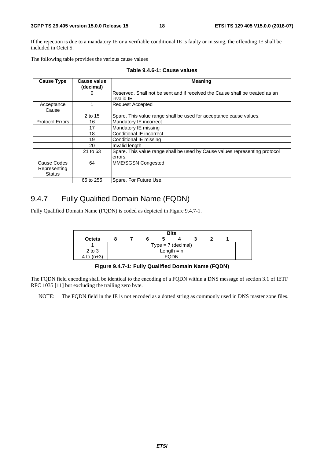If the rejection is due to a mandatory IE or a verifiable conditional IE is faulty or missing, the offending IE shall be included in Octet 5.

The following table provides the various cause values

| <b>Cause Type</b>                            | <b>Cause value</b><br>(decimal) | <b>Meaning</b>                                                                             |
|----------------------------------------------|---------------------------------|--------------------------------------------------------------------------------------------|
|                                              |                                 | Reserved. Shall not be sent and if received the Cause shall be treated as an<br>invalid IE |
| Acceptance<br>Cause                          |                                 | <b>Request Accepted</b>                                                                    |
|                                              | 2 to 15                         | Spare. This value range shall be used for acceptance cause values.                         |
| <b>Protocol Errors</b>                       | 16                              | Mandatory IE incorrect                                                                     |
|                                              | 17                              | Mandatory IE missing                                                                       |
|                                              | 18                              | Conditional IE incorrect                                                                   |
|                                              | 19                              | Conditional IE missing                                                                     |
|                                              | 20                              | Invalid length                                                                             |
|                                              | 21 to 63                        | Spare. This value range shall be used by Cause values representing protocol<br>errors.     |
| Cause Codes<br>Representing<br><b>Status</b> | 64                              | MME/SGSN Congested                                                                         |
|                                              | 65 to 255                       | Spare. For Future Use.                                                                     |

**Table 9.4.6-1: Cause values** 

#### 9.4.7 Fully Qualified Domain Name (FQDN)

Fully Qualified Domain Name (FQDN) is coded as depicted in Figure 9.4.7-1.



**Figure 9.4.7-1: Fully Qualified Domain Name (FQDN)** 

The FQDN field encoding shall be identical to the encoding of a FQDN within a DNS message of section 3.1 of IETF RFC 1035 [11] but excluding the trailing zero byte.

NOTE: The FQDN field in the IE is not encoded as a dotted string as commonly used in DNS master zone files.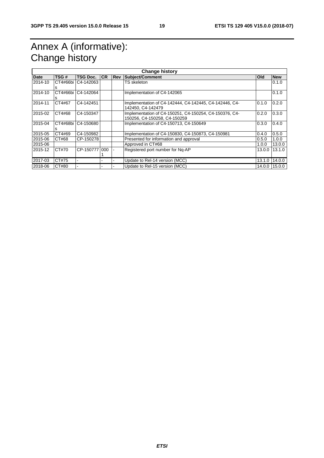# Annex A (informative): Change history

|         | <b>Change history</b> |                      |           |             |                                                                                        |            |               |  |
|---------|-----------------------|----------------------|-----------|-------------|----------------------------------------------------------------------------------------|------------|---------------|--|
| Date    | TSG #                 | <b>TSG Doc.</b>      | <b>CR</b> | <b>IRev</b> | Subject/Comment                                                                        | <b>Old</b> | <b>New</b>    |  |
| 2014-10 |                       | CT4#66bi   C4-142063 |           |             | TS skeleton                                                                            |            | 0.1.0         |  |
|         | s                     |                      |           |             |                                                                                        |            |               |  |
| 2014-10 | s                     | CT4#66bi C4-142064   |           |             | Implementation of C4-142065                                                            |            | 0.1.0         |  |
| 2014-11 | CT4#67                | C4-142451            |           |             | Implementation of C4-142444, C4-142445, C4-142446, C4-<br>142450, C4-142479            | 0.1.0      | 0.2.0         |  |
| 2015-02 | CT4#68                | C4-150347            |           |             | Implementation of C4-150251, C4-150254, C4-150376, C4-<br>150256, C4-150258, C4-150259 | 0.2.0      | 0.3.0         |  |
| 2015-04 |                       | CT4#68bi C4-150680   |           |             | Implementation of C4-150713, C4-150649                                                 | 0.3.0      | 0.4.0         |  |
| 2015-05 | CT4#69                | C4-150982            |           |             | Implementation of C4-150830, C4-150873, C4-150981                                      | 0.4.0      | 0.5.0         |  |
| 2015-06 | CT#68                 | CP-150278            |           |             | Presented for information and approval                                                 | 0.5.0      | 1.0.0         |  |
| 2015-06 |                       |                      |           |             | Approved in CT#68                                                                      | 1.0.0      | 13.0.0        |  |
| 2015-12 | CT#70                 | CP-1507771000        |           |             | Registered port number for Nq-AP                                                       | 13.0.01    | 13.1.0        |  |
|         |                       |                      |           |             |                                                                                        |            |               |  |
| 2017-03 | CT#75                 |                      |           |             | Update to Rel-14 version (MCC)                                                         | 13.1.0     | 14.0.0        |  |
| 2018-06 | CT#80                 |                      |           |             | Update to Rel-15 version (MCC)                                                         |            | 14.0.0 15.0.0 |  |